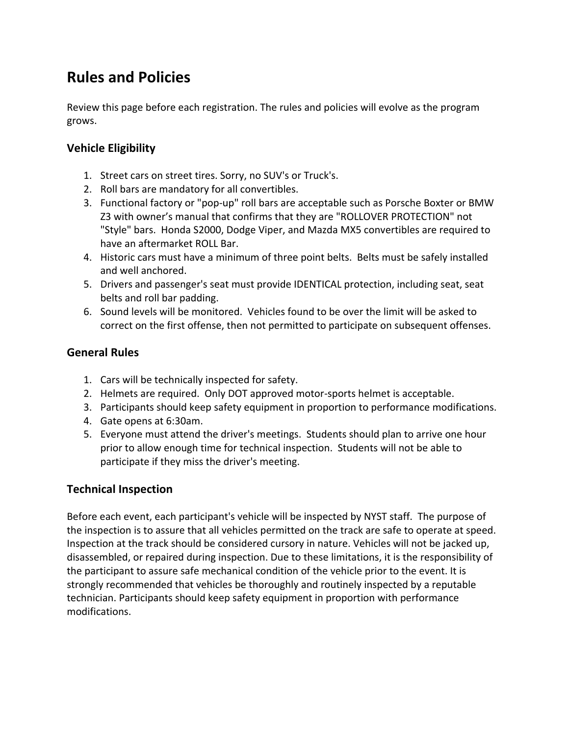# **Rules and Policies**

Review this page before each registration. The rules and policies will evolve as the program grows.

### **Vehicle Eligibility**

- 1. Street cars on street tires. Sorry, no SUV's or Truck's.
- 2. Roll bars are mandatory for all convertibles.
- 3. Functional factory or "pop‐up" roll bars are acceptable such as Porsche Boxter or BMW Z3 with owner's manual that confirms that they are "ROLLOVER PROTECTION" not "Style" bars. Honda S2000, Dodge Viper, and Mazda MX5 convertibles are required to have an aftermarket ROLL Bar.
- 4. Historic cars must have a minimum of three point belts. Belts must be safely installed and well anchored.
- 5. Drivers and passenger's seat must provide IDENTICAL protection, including seat, seat belts and roll bar padding.
- 6. Sound levels will be monitored. Vehicles found to be over the limit will be asked to correct on the first offense, then not permitted to participate on subsequent offenses.

#### **General Rules**

- 1. Cars will be technically inspected for safety.
- 2. Helmets are required. Only DOT approved motor‐sports helmet is acceptable.
- 3. Participants should keep safety equipment in proportion to performance modifications.
- 4. Gate opens at 6:30am.
- 5. Everyone must attend the driver's meetings. Students should plan to arrive one hour prior to allow enough time for technical inspection. Students will not be able to participate if they miss the driver's meeting.

#### **Technical Inspection**

Before each event, each participant's vehicle will be inspected by NYST staff. The purpose of the inspection is to assure that all vehicles permitted on the track are safe to operate at speed. Inspection at the track should be considered cursory in nature. Vehicles will not be jacked up, disassembled, or repaired during inspection. Due to these limitations, it is the responsibility of the participant to assure safe mechanical condition of the vehicle prior to the event. It is strongly recommended that vehicles be thoroughly and routinely inspected by a reputable technician. Participants should keep safety equipment in proportion with performance modifications.